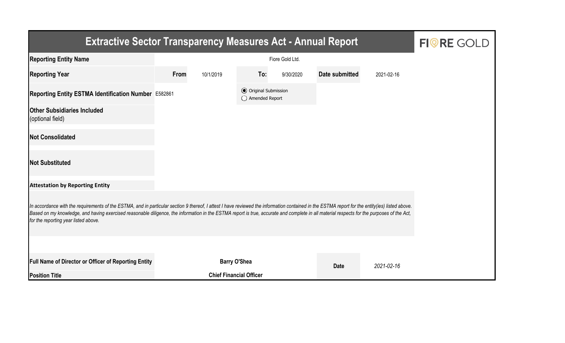| <b>Extractive Sector Transparency Measures Act - Annual Report</b>                                                                                                                                                                                                                                                                                                                                                                    | <b>FIORE GOLD</b> |                                |                                                  |           |                |            |  |  |  |  |
|---------------------------------------------------------------------------------------------------------------------------------------------------------------------------------------------------------------------------------------------------------------------------------------------------------------------------------------------------------------------------------------------------------------------------------------|-------------------|--------------------------------|--------------------------------------------------|-----------|----------------|------------|--|--|--|--|
| <b>Reporting Entity Name</b>                                                                                                                                                                                                                                                                                                                                                                                                          |                   |                                |                                                  |           |                |            |  |  |  |  |
| <b>Reporting Year</b>                                                                                                                                                                                                                                                                                                                                                                                                                 | From              | 10/1/2019                      | To:                                              | 9/30/2020 | Date submitted | 2021-02-16 |  |  |  |  |
| Reporting Entity ESTMA Identification Number E582861                                                                                                                                                                                                                                                                                                                                                                                  |                   |                                | <b>⊙</b> Original Submission<br>◯ Amended Report |           |                |            |  |  |  |  |
| <b>Other Subsidiaries Included</b><br>(optional field)                                                                                                                                                                                                                                                                                                                                                                                |                   |                                |                                                  |           |                |            |  |  |  |  |
| <b>Not Consolidated</b>                                                                                                                                                                                                                                                                                                                                                                                                               |                   |                                |                                                  |           |                |            |  |  |  |  |
| <b>Not Substituted</b>                                                                                                                                                                                                                                                                                                                                                                                                                |                   |                                |                                                  |           |                |            |  |  |  |  |
| <b>Attestation by Reporting Entity</b>                                                                                                                                                                                                                                                                                                                                                                                                |                   |                                |                                                  |           |                |            |  |  |  |  |
| In accordance with the requirements of the ESTMA, and in particular section 9 thereof, I attest I have reviewed the information contained in the ESTMA report for the entity(ies) listed above.<br>Based on my knowledge, and having exercised reasonable diligence, the information in the ESTMA report is true, accurate and complete in all material respects for the purposes of the Act,<br>for the reporting year listed above. |                   |                                |                                                  |           |                |            |  |  |  |  |
|                                                                                                                                                                                                                                                                                                                                                                                                                                       |                   |                                |                                                  |           |                |            |  |  |  |  |
| <b>Full Name of Director or Officer of Reporting Entity</b>                                                                                                                                                                                                                                                                                                                                                                           |                   | <b>Barry O'Shea</b>            |                                                  |           | <b>Date</b>    | 2021-02-16 |  |  |  |  |
| <b>Position Title</b>                                                                                                                                                                                                                                                                                                                                                                                                                 |                   | <b>Chief Financial Officer</b> |                                                  |           |                |            |  |  |  |  |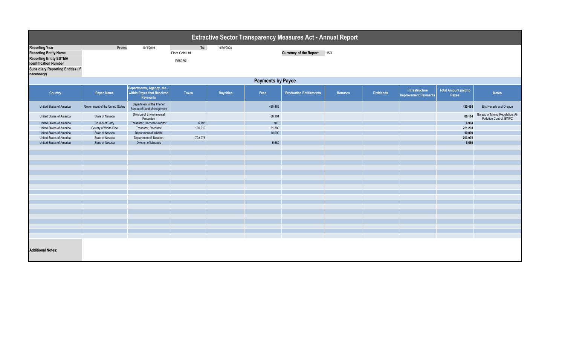| <b>Extractive Sector Transparency Measures Act - Annual Report</b>                                                                                                               |                                 |                                                                    |                                   |                  |         |                                |                |                  |                                               |                                      |                                                             |  |
|----------------------------------------------------------------------------------------------------------------------------------------------------------------------------------|---------------------------------|--------------------------------------------------------------------|-----------------------------------|------------------|---------|--------------------------------|----------------|------------------|-----------------------------------------------|--------------------------------------|-------------------------------------------------------------|--|
| <b>Reporting Year</b><br><b>Reporting Entity Name</b><br><b>Reporting Entity ESTMA</b><br><b>Identification Number</b><br><b>Subsidiary Reporting Entities (if</b><br>necessary) | From:                           | 10/1/2019                                                          | To:<br>Fiore Gold Ltd.<br>E582861 | 9/30/2020        |         | Currency of the Report USD     |                |                  |                                               |                                      |                                                             |  |
|                                                                                                                                                                                  | <b>Payments by Payee</b>        |                                                                    |                                   |                  |         |                                |                |                  |                                               |                                      |                                                             |  |
| Country                                                                                                                                                                          | Payee Name                      | Departments, Agency, etc<br>within Payee that Received<br>Payments | Taxes                             | <b>Royalties</b> | Fees    | <b>Production Entitlements</b> | <b>Bonuses</b> | <b>Dividends</b> | Infrastructure<br><b>Improvement Payments</b> | <b>Total Amount paid to</b><br>Payee | <b>Notes</b>                                                |  |
| United States of America                                                                                                                                                         | Government of the United States | Department of the Interior<br><b>Bureau of Land Management</b>     |                                   |                  | 430,485 |                                |                |                  |                                               | 430,485                              | Ely, Nevada and Oregon                                      |  |
| United States of America                                                                                                                                                         | State of Nevada                 | Division of Environmental<br>Protection                            |                                   |                  | 86,184  |                                |                |                  |                                               | 86,184                               | Bureau of Mining Regulation, Air<br>Pollution Control, BWPC |  |
| United States of America                                                                                                                                                         | County of Ferry                 | Treasurer, Recorder-Auditor                                        | 6,798                             |                  | 106     |                                |                |                  |                                               | 6,904                                |                                                             |  |
| United States of America                                                                                                                                                         | County of White Pine            | Treasurer, Recorder                                                | 189,913                           |                  | 31,380  |                                |                |                  |                                               | 221,293                              |                                                             |  |
| United States of America                                                                                                                                                         | State of Nevada                 | Department of Wildlife                                             |                                   |                  | 10,000  |                                |                |                  |                                               | 10,000                               |                                                             |  |
| United States of America                                                                                                                                                         | State of Nevada                 | Department of Taxation                                             | 703,976                           |                  |         |                                |                |                  |                                               | 703,976                              |                                                             |  |
| United States of America                                                                                                                                                         | State of Nevada                 | <b>Division of Minerals</b>                                        |                                   |                  | 5,680   |                                |                |                  |                                               | 5,680                                |                                                             |  |
|                                                                                                                                                                                  |                                 |                                                                    |                                   |                  |         |                                |                |                  |                                               |                                      |                                                             |  |
|                                                                                                                                                                                  |                                 |                                                                    |                                   |                  |         |                                |                |                  |                                               |                                      |                                                             |  |
|                                                                                                                                                                                  |                                 |                                                                    |                                   |                  |         |                                |                |                  |                                               |                                      |                                                             |  |
|                                                                                                                                                                                  |                                 |                                                                    |                                   |                  |         |                                |                |                  |                                               |                                      |                                                             |  |
|                                                                                                                                                                                  |                                 |                                                                    |                                   |                  |         |                                |                |                  |                                               |                                      |                                                             |  |
|                                                                                                                                                                                  |                                 |                                                                    |                                   |                  |         |                                |                |                  |                                               |                                      |                                                             |  |
|                                                                                                                                                                                  |                                 |                                                                    |                                   |                  |         |                                |                |                  |                                               |                                      |                                                             |  |
|                                                                                                                                                                                  |                                 |                                                                    |                                   |                  |         |                                |                |                  |                                               |                                      |                                                             |  |
|                                                                                                                                                                                  |                                 |                                                                    |                                   |                  |         |                                |                |                  |                                               |                                      |                                                             |  |
|                                                                                                                                                                                  |                                 |                                                                    |                                   |                  |         |                                |                |                  |                                               |                                      |                                                             |  |
|                                                                                                                                                                                  |                                 |                                                                    |                                   |                  |         |                                |                |                  |                                               |                                      |                                                             |  |
|                                                                                                                                                                                  |                                 |                                                                    |                                   |                  |         |                                |                |                  |                                               |                                      |                                                             |  |
|                                                                                                                                                                                  |                                 |                                                                    |                                   |                  |         |                                |                |                  |                                               |                                      |                                                             |  |
|                                                                                                                                                                                  |                                 |                                                                    |                                   |                  |         |                                |                |                  |                                               |                                      |                                                             |  |
|                                                                                                                                                                                  |                                 |                                                                    |                                   |                  |         |                                |                |                  |                                               |                                      |                                                             |  |
| <b>Additional Notes:</b>                                                                                                                                                         |                                 |                                                                    |                                   |                  |         |                                |                |                  |                                               |                                      |                                                             |  |